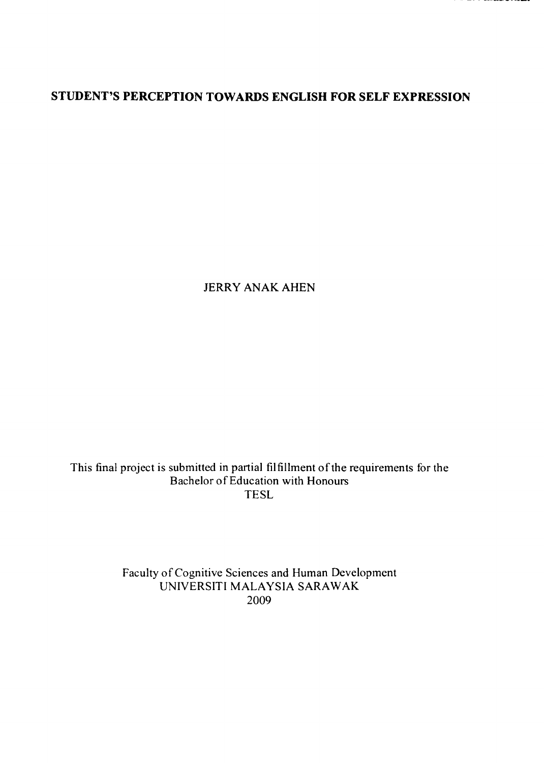\_\_\_\_\_\_\_

## STUDENT'S PERCEPTION TOWARDS ENGLISH FOR SELF EXPRESSION

#### JERRY ANAK AHEN

### This final project is submitted in partial filfillment of the requirements for the Bachelor of Education with Honours TESL

## Faculty of Cognitive Sciences and Human Development UNIVERSITI MALAYSIA SARAWAK 2009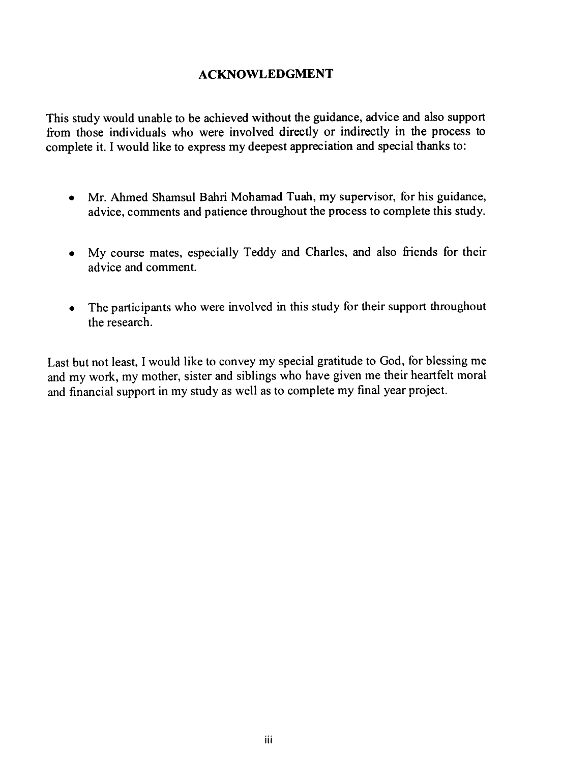### ACKNOWLEDGMENT

This study would unable to be achieved without the guidance, advice and also support from those individuals who were involved directly or indirectly in the process to complete it. I would like to express my deepest appreciation and special thanks to:

- Mr. Ahmed Shamsul Bahri Mohamad Tuah, my supervisor, for his guidance, advice, comments and patience throughout the process to complete this study.
- My course mates, especially Teddy and Charles, and also friends for their advice and comment.
- The participants who were involved in this study for their support throughout the research.

Last but not least, I would like to convey my special gratitude to God, for blessing me and my work, my mother, sister and siblings who have given me their heartfelt moral and financial support in my study as well as to complete my final year project.

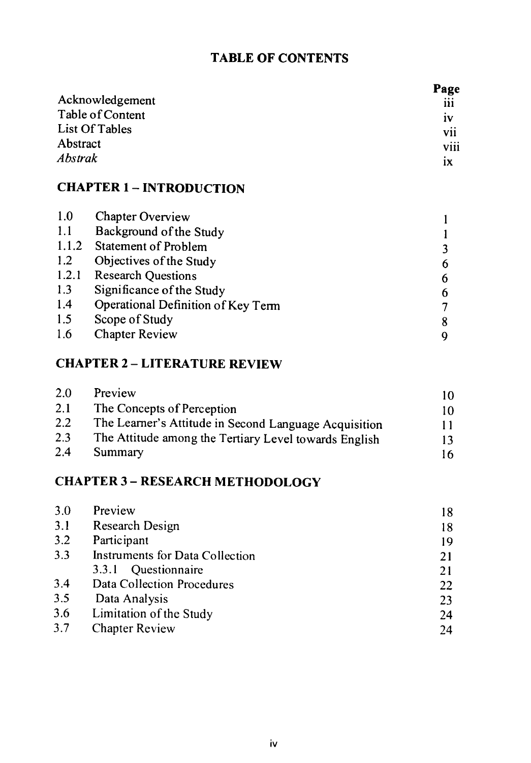## TABLE OF CONTENTS

| Page           |
|----------------|
| 111            |
| 1 <sub>V</sub> |
| <b>V11</b>     |
| viii           |
| 1X             |
|                |

## CHAPTER 1 - INTRODUCTION

- 1.0 Chapter Overview 1
- 1.1 Background of the Study<br>1.1.2 Statement of Problem
- 1.1.2 Statement of Problem<br>1.2 Objectives of the Stud
- 1.2 Objectives of the Study 6<br>1.2.1 Research Ouestions 6
- 
- 1.2.1 Research Questions 6<br>1.3 Significance of the Study 6
- 1.3 Significance of the Study<br>
1.4 Operational Definition of Key Term (3) 1.4 Operational Definition of Key Term 7<br>1.5 Scope of Study 8
- 
- 1.5 Scope of Study<br>
1.6 Chapter Review 9 Chapter Review 9

 $2.0$  Preview  $10$ 2.1 The Concepts of Perception 10<br>2.2 The Learner's Attitude in Second Language Acquisition 11 2.2 The Learner's Attitude in Second Language Acquisition 11<br>2.3 The Attitude among the Tertiary Level towards English 13 2.3 The Attitude among the Tertiary Level towards English 13<br>2.4 Summary 16 2.4 Summary 16

# CHAPTER 2- LITERATURE REVIEW

| 3.0 | Preview                         | 18 |
|-----|---------------------------------|----|
| 3.1 | <b>Research Design</b>          | 18 |
| 3.2 | Participant                     | 19 |
| 3.3 | Instruments for Data Collection | 21 |
|     | Questionnaire<br>3.3.1          | 21 |
| 3.4 | Data Collection Procedures      | 22 |
| 3.5 | Data Analysis                   | 23 |
| 3.6 | Limitation of the Study         | 24 |
| 3.7 | <b>Chapter Review</b>           | 24 |

## CHAPTER 3- RESEARCH METHODOLOGY

IV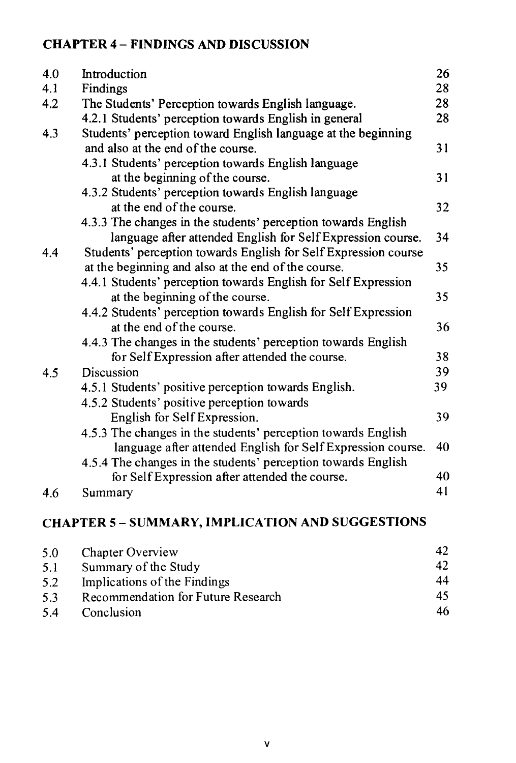## CHAPTER 4 - FINDINGS AND DISCUSSION

| 4.0 | Introduction                                                    | 26   |
|-----|-----------------------------------------------------------------|------|
| 4.1 | <b>Findings</b>                                                 | 28   |
| 4.2 | The Students' Perception towards English language.              | 28   |
|     | 4.2.1 Students' perception towards English in general           | 28   |
| 4.3 | Students' perception toward English language at the beginning   |      |
|     | and also at the end of the course.                              | 31   |
|     | 4.3.1 Students' perception towards English language             |      |
|     | at the beginning of the course.                                 |      |
|     | 4.3.2 Students' perception towards English language             |      |
|     | at the end of the course.                                       | 32   |
|     | 4.3.3 The changes in the students' perception towards English   |      |
|     | language after attended English for Self Expression course.     | 34   |
| 4.4 | Students' perception towards English for Self Expression course |      |
|     | at the beginning and also at the end of the course.             | 35   |
|     | 4.4.1 Students' perception towards English for Self Expression  |      |
|     | at the beginning of the course.                                 | 35   |
|     | 4.4.2 Students' perception towards English for Self Expression  |      |
|     | at the end of the course.                                       | 36   |
|     | 4.4.3 The changes in the students' perception towards English   |      |
|     | for Self Expression after attended the course.                  | 38   |
| 4.5 | Discussion                                                      | 39   |
|     | 4.5.1 Students' positive perception towards English.            | 39   |
|     | 4.5.2 Students' positive perception towards                     |      |
|     | English for Self Expression.                                    | 39   |
|     | 4.5.3 The changes in the students' perception towards English   |      |
|     | language after attended English for Self Expression course.     | - 40 |
|     | 4.5.4 The changes in the students' perception towards English   |      |
|     |                                                                 |      |

for Self Expression after attended the course. 40

## 4.6 Summary 41

# CHAPTER 5- SUMMARY, IMPLICATION AND SUGGESTIONS

| 5.0 | <b>Chapter Overview</b>                   |    |
|-----|-------------------------------------------|----|
| 5.1 | Summary of the Study                      | 42 |
| 5.2 | Implications of the Findings              | 44 |
| 5.3 | <b>Recommendation for Future Research</b> | 45 |
| 5.4 | Conclusion                                | 46 |

V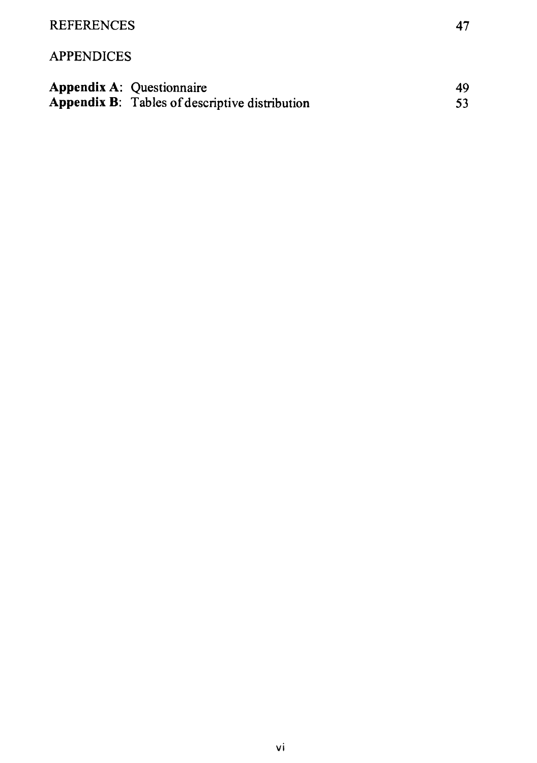

#### APPENDICES

Appendix A: Questionnaire 49 Appendix B: Tables of descriptive distribution 53

vi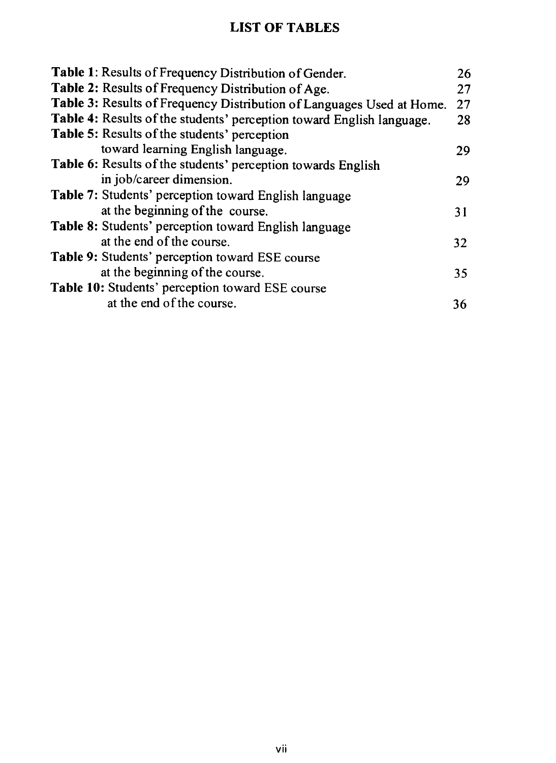## LIST OF TABLES

Table 1: Results of Frequency Distribution of Gender.<br> **Table 2:** Results of Frequency Distribution of Age. 27 Table 2: Results of Frequency Distribution of Age. Table 3: Results of Frequency Distribution of Languages Used at Home. 27<br>Table 4: Results of the students' perception toward English language. 28 Table 4: Results of the students' perception toward English language. Table 5: Results of the students' perception toward learning English language. 29 Table 6: Results of the students' perception towards English in job/career dimension. 29 Table 7: Students' perception toward English language at the beginning of the course. 31 Table 8: Students' perception toward English language at the end of the course. 32

| we beer week va lily volutur.                    | J 4 |
|--------------------------------------------------|-----|
| Table 9: Students' perception toward ESE course  |     |
| at the beginning of the course.                  | 35  |
| Table 10: Students' perception toward ESE course |     |
| at the end of the course.                        | 36  |
|                                                  |     |

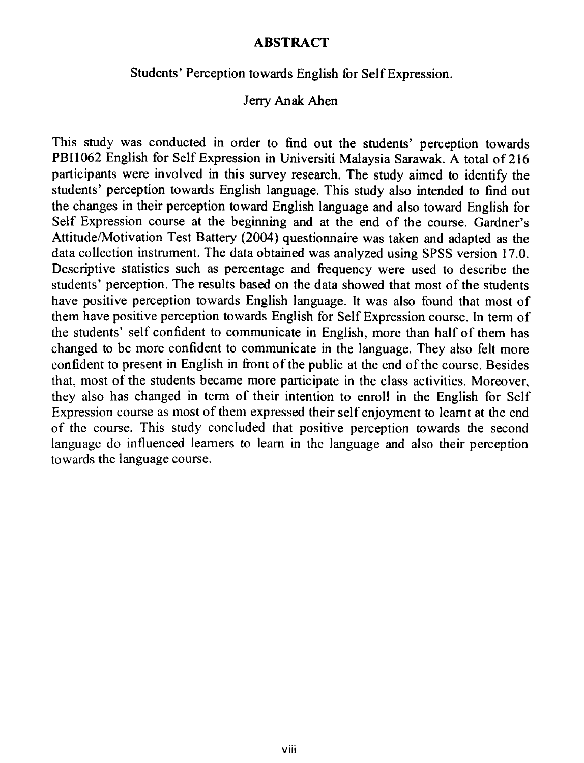#### ABSTRACT

#### Students' Perception towards English for Self Expression.

Jerry Anak Ahen

This study was conducted in order to find out the students' perception towards PBI1062 English for Self Expression in Universiti Malaysia Sarawak. A total of 216 participants were involved in this survey research. The study aimed to identify the students' perception towards English language. This study also intended to find out the changes in their perception toward English language and also toward English for Self Expression course at the beginning and at the end of the course. Gardner's Attitude/Motivation Test Battery (2004) questionnaire was taken and adapted as the data collection instrument. The data obtained was analyzed using SPSS version 17.0. Descriptive statistics such as percentage and frequency were used to describe the students' perception. The results based on the data showed that most of the students have positive perception towards English language. It was also found that most of them have positive perception towards English for Self Expression course. In term of the students' self confident to communicate in English, more than half of them has changed to be more confident to communicate in the language. They also felt more confident to present in English in front of the public at the end of the course. Besides that, most of the students became more participate in the class activities. Moreover, they also has changed in term of their intention to enroll in the English for Self Expression course as most of them expressed their self enjoyment to learnt at the end of the course. This study concluded that positive perception towards the second language do influenced learners to learn in the language and also their perception towards the language course.

viii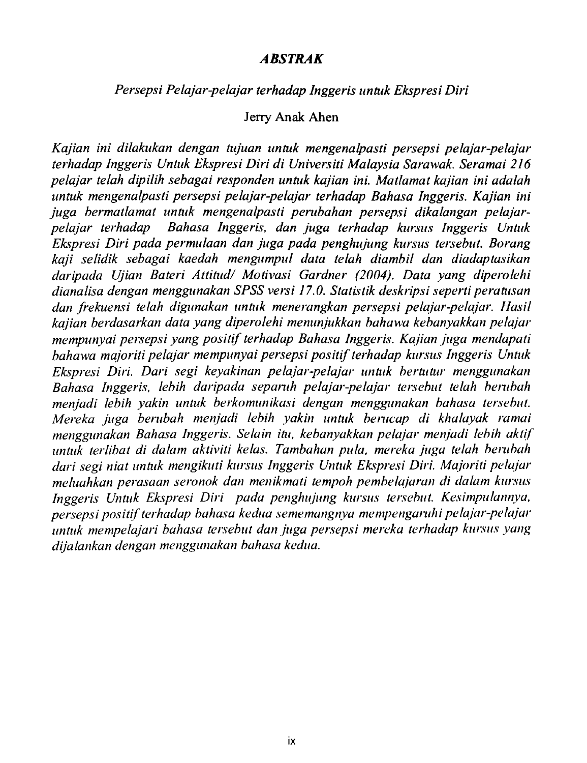#### ABSTRAK

#### Persepsi Pelajar-pelajar terhadap Inggeris untuk Ekspresi Diri

Jerry Anak Ahen

Kajian ini dilakukan dengan tujuan untuk mengenalpasti persepsi pelajar-pelajar terhadap Inggeris Untuk Ekspresi Diri di Universiti Malaysia Sarawak. Seramai 216 pelajar telah dipilih sebagai responden untuk kajian ini. Matlamat kajian ini adalah untuk mengenalpasti persepsi pelajar pelajar terhadap Bahasa Inggeris. Kajian ini juga bermatlamat untuk mengenalpasti perubahan persepsi dikalangan pelajarpelajar terhadap Bahasa Inggeris, dan juga terhadap kursus Inggeris Untuk Ekspresi Diri pada permulaan dan juga pada penghujung kursus tersehut. Borang kaji selidik sebagai kaedah mengumpul data telah diambil dan diadaptasikan daripada Ujian Bateri Attitud/ Motivasi Gardner (2004). Data yang diperolehi dianalisa dengan menggunakan SPSS versi 17.0. Statistik deskripsi seperti peratusan dan frekuensi telah digunakan untuk menerangkan persepsi pelajar-pelajar. Hasil kajian berdasarkan data yang diperolehi menunjukkan hahawa kehanyakkan pelajar mempunyai persepsi yang positif terhadap Bahasa Inggeris. Kajian juga mendapati bahawa majoriti pelajar mempunyai persepsi positif terhadap kursus Inggeris Untuk Ekspresi Diri. Dari segi keyakinan pelajar-pelajar untuk bertutur menggunakan Bahasa Inggeris, lebih daripada separuh pelajar-pelajar tersebut telah berubah menjadi lebih yakin untuk berkomunikasi dengan menggunakan hahasa tersehut. Mereka juga berubah menjadi lebih yakin untuk berucap di khalayak ramai menggunakan Bahasa Inggeris. Selain itu, kebanyakkan pelajar menjadi lebih aktif untuk terlibat di dalam aktiviti kelas. Tambahan pula, mereka juga telah herrrbah dari segi niat untuk mengikuti kursus Inggeris Untuk Ekspresi Diri. Majoriti pelajarmeluahkan perasaan seronok dan menikmati tempoh pembelajaran di dalam kursus Inggeris Untuk Ekspresi Diri pada penghujung kursus tersebut. Kesimpulannya, persepsi positif terhadap bahasa kedua sememangnya mempengaruhi pelajar-pelajar untuk mempelajari bahasa tersebut dan juga persepsi mereka terhadap kursus yang dijalankan dengan menggunakan hahasa kedua.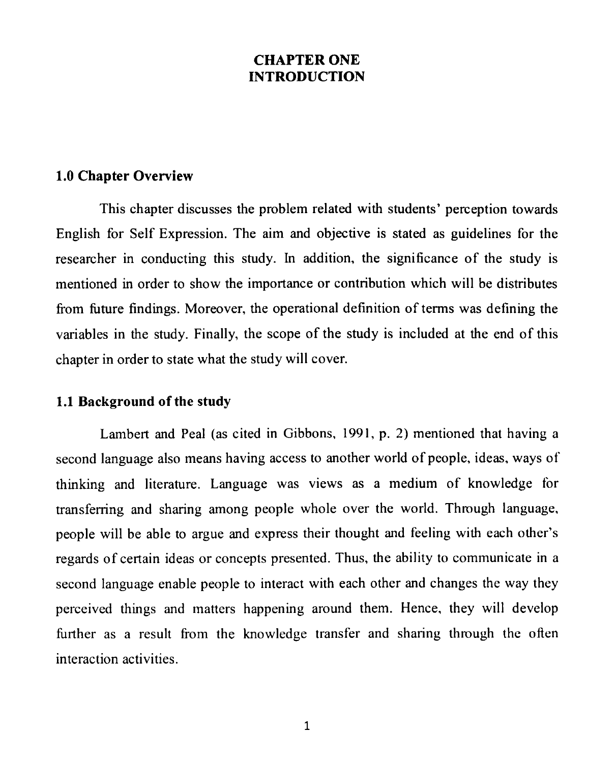## CHAPTER ONE INTRODUCTION

#### 1.0 Chapter Overview

This chapter discusses the problem related with students' perception towards English for Self Expression. The aim and objective is stated as guidelines for the researcher in conducting this study. In addition, the significance of the study is

mentioned in order to show the importance or contribution which will be distributes from future findings. Moreover, the operational definition of terms was defining the variables in the study. Finally, the scope of the study is included at the end of this chapter in order to state what the study will cover.

## 1.1 Background of the study

Lambert and Peal (as cited in Gibbons, 1991, p. 2) mentioned that having a second language also means having access to another world of people, ideas, ways of thinking and literature. Language was views as a medium of knowledge for transferring and sharing among people whole over the world. Through language, people will be able to argue and express their thought and feeling with each other's

regards of certain ideas or concepts presented. Thus, the ability to communicate in a

second language enable people to interact with each other and changes the way they perceived things and matters happening around them. Hence, they will develop further as a result from the knowledge transfer and sharing through the often interaction activities.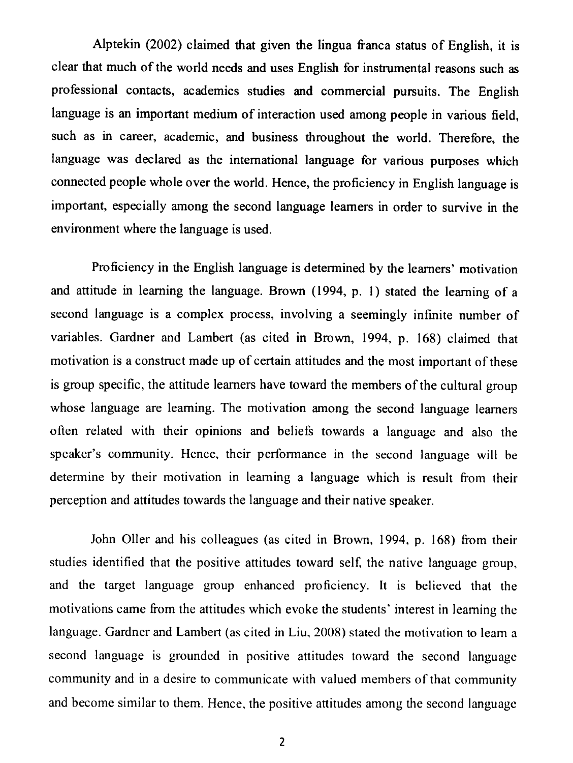Alptekin (2002) claimed that given the lingua franca status of English, it is clear that much of the world needs and uses English for instrumental reasons such as professional contacts, academics studies and commercial pursuits. The English language is an important medium of interaction used among people in various field, such as in career, academic, and business throughout the world. Therefore, the language was declared as the international language for various purposes which connected people whole over the world. Hence, the proficiency in English language is important, especially among the second language learners in order to survive in the environment where the language is used.

Proficiency in the English language is determined by the learners' motivation and attitude in learning the language. Brown (1994, p. 1) stated the learning of a second language is a complex process, involving a seemingly infinite number of variables. Gardner and Lambert (as cited in Brown, 1994, p. 168) claimed that motivation is a construct made up of certain attitudes and the most important of these is group specific, the attitude learners have toward the members of the cultural group whose language are learning. The motivation among the second language learners often related with their opinions and beliefs towards a language and also the speaker's community. Hence, their performance in the second language will be determine by their motivation in learning a language which is result from their

perception and attitudes towards the language and their native speaker.

John Oller and his colleagues (as cited in Brown, 1994, p. 168) from their studies identified that the positive attitudes toward self, the native language group, and the target language group enhanced proficiency. It is believed that the motivations came from the attitudes which evoke the students' interest in learning the language. Gardner and Lambert (as cited in Liu, 2008) stated the motivation to learn a second language is grounded in positive attitudes toward the second language community and in a desire to communicate with valued members of that community and become similar to them. Hence, the positive attitudes among the second language

2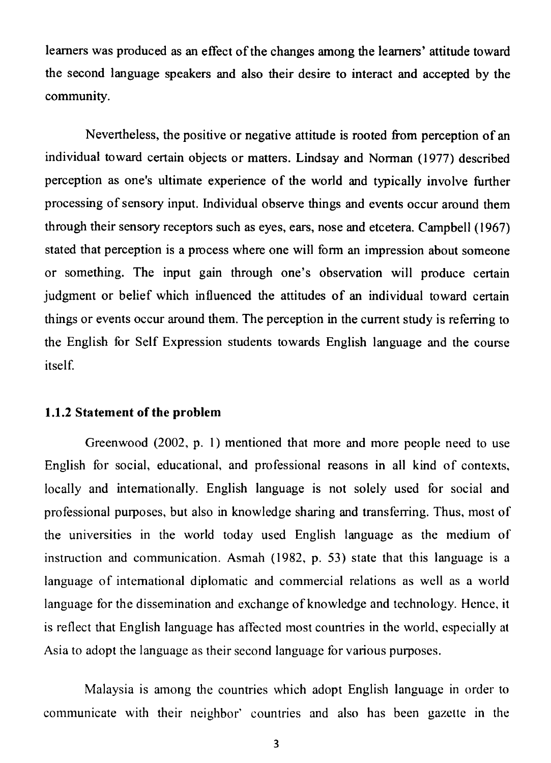learners was produced as an effect of the changes among the learners' attitude toward the second language speakers and also their desire to interact and accepted by the community.

Nevertheless, the positive or negative attitude is rooted from perception of an individual toward certain objects or matters. Lindsay and Norman (1977) described perception as one's ultimate experience of the world and typically involve further processing of sensory input. Individual observe things and events occur around them through their sensory receptors such as eyes, ears, nose and etcetera. Campbell (1967)

stated that perception is a process where one will form an impression about someone or something. The input gain through one's observation will produce certain judgment or belief which influenced the attitudes of an individual toward certain things or events occur around them. The perception in the current study is referring to the English for Self Expression students towards English language and the course itself.

#### 1.1.2 Statement of the problem

Greenwood (2002, p. 1) mentioned that more and more people need to use English for social, educational, and professional reasons in all kind of contexts, locally and internationally. English language is not solely used for social and professional purposes, but also in knowledge sharing and transferring. Thus, most of the universities in the world today used English language as the medium of instruction and communication. Asmah (1982, p. 53) state that this language is a language of international diplomatic and commercial relations as well as a world language for the dissemination and exchange of knowledge and technology. Hence, it is reflect that English language has affected most countries in the world, especially at Asia to adopt the language as their second language for various purposes.

Malaysia is among the countries which adopt English language in order to communicate with their neighbor' countries and also has been gazette in the

3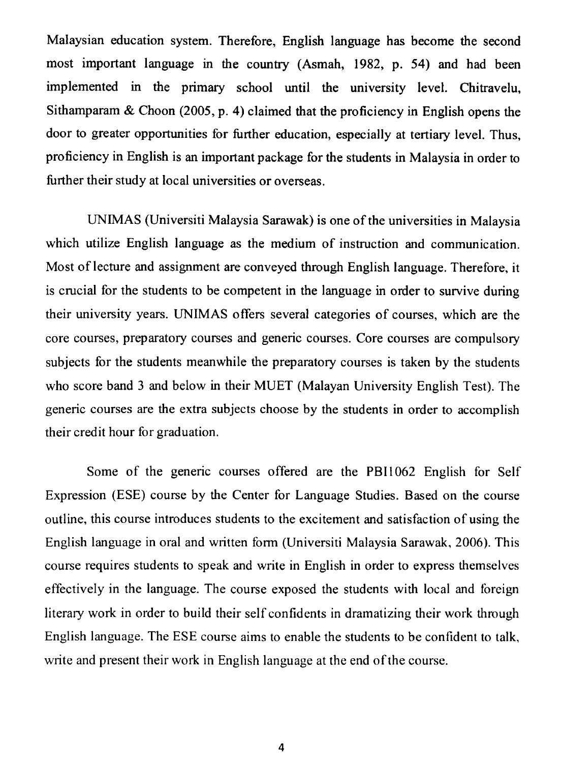Malaysian education system. Therefore, English language has become the second most important language in the country (Asmah, 1982, p. 54) and had been implemented in the primary school until the university level. Chitravelu, Sithamparam & Choon (2005, p. 4) claimed that the proficiency in English opens the door to greater opportunities for further education, especially at tertiary level. Thus, proficiency in English is an important package for the students in Malaysia in order to further their study at local universities or overseas.

UNIMAS (Universiti Malaysia Sarawak) is one of the universities in Malaysia which utilize English language as the medium of instruction and communication.

outline, this course introduces students to the excitement and satisfaction of using the English language in oral and written form (Universiti Malaysia Sarawak, 2006). This course requires students to speak and write in English in order to express themselves effectively in the language. The course exposed the students with local and foreign literary work in order to build their self confidents in dramatizing their work through English language. The ESE course aims to enable the students to be confident to talk, write and present their work in English language at the end of the course.

Most of lecture and assignment are conveyed through English language. Therefore, it is crucial for the students to be competent in the language in order to survive during their university years. UNIMAS offers several categories of courses, which are the core courses, preparatory courses and generic courses. Core courses are compulsory subjects for the students meanwhile the preparatory courses is taken by the students who score band 3 and below in their MUET (Malayan University English Test). The generic courses are the extra subjects choose by the students in order to accomplish their credit hour for graduation.

Some of the generic courses offered are the PBI1062 English for Self Expression (ESE) course by the Center for Language Studies. Based on the course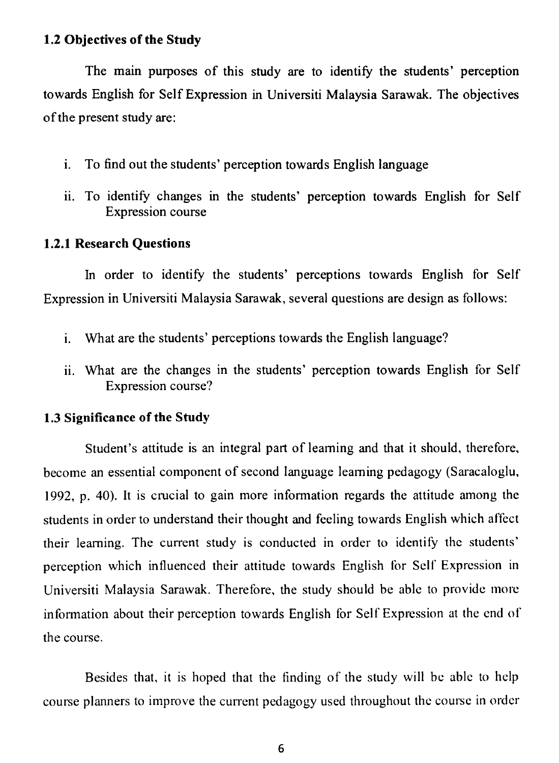#### 1.2 Objectives of the Study

The main purposes of this study are to identify the students' perception towards English for Self Expression in Universiti Malaysia Sarawak. The objectives of the present study are:

- i. To find out the students' perception towards English language
- ii. To identify changes in the students' perception towards English for Self Expression course

1.2.1 Research Questions

In order to identify the students' perceptions towards English for Self Expression in Universiti Malaysia Sarawak, several questions are design as follows:

- i. What are the students' perceptions towards the English language?
- ii. What are the changes in the students' perception towards English for Self Expression course?

## 1.3 Significance of the Study

Student's attitude is an integral part of learning and that it should, therefore, become an essential component of second language learning pedagogy (Saracaloglu, 1992, p. 40). It is crucial to gain more information regards the attitude among the students in order to understand their thought and feeling towards English which affect their learning. The current study is conducted in order to identify the students' perception which influenced their attitude towards English for Self Expression in Universiti Malaysia Sarawak. Therefore, the study should be able to provide more information about their perception towards English for Self Expression at the end of the course.

Besides that, it is hoped that the finding of the study will be able to help course planners to improve the current pedagogy used throughout the course in order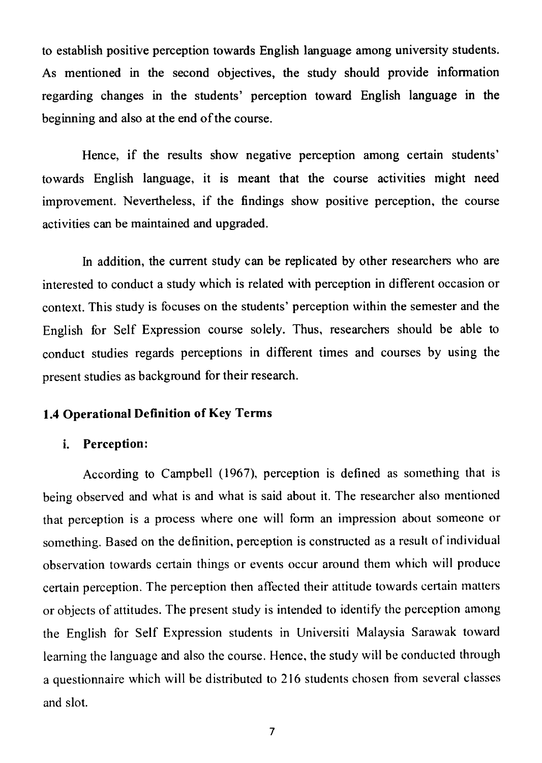to establish positive perception towards English language among university students. As mentioned in the second objectives, the study should provide information regarding changes in the students' perception toward English language in the beginning and also at the end of the course.

Hence, if the results show negative perception among certain students' towards English language, it is meant that the course activities might need improvement. Nevertheless, if the findings show positive perception, the course activities can be maintained and upgraded.

In addition, the current study can be replicated by other researchers who are interested to conduct a study which is related with perception in different occasion or context. This study is focuses on the students' perception within the semester and the English for Self Expression course solely. Thus, researchers should be able to conduct studies regards perceptions in different times and courses by using the present studies as background for their research.

## 1.4 Operational Definition of Key Terms

## i. Perception:

According to Campbell (1967), perception is defined as something that is

being observed and what is and what is said about it. The researcher also mentioned that perception is a process where one will form an impression about someone or something. Based on the definition, perception is constructed as a result of individual observation towards certain things or events occur around them which will produce certain perception. The perception then affected their attitude towards certain matters or objects of attitudes. The present study is intended to identify the perception among the English for Self Expression students in Universiti Malaysia Sarawak toward learning the language and also the course. Hence, the study will be conducted through a questionnaire which will be distributed to 216 students chosen from several classes and slot.

 $\mathcal{L}_{\mathcal{A}}$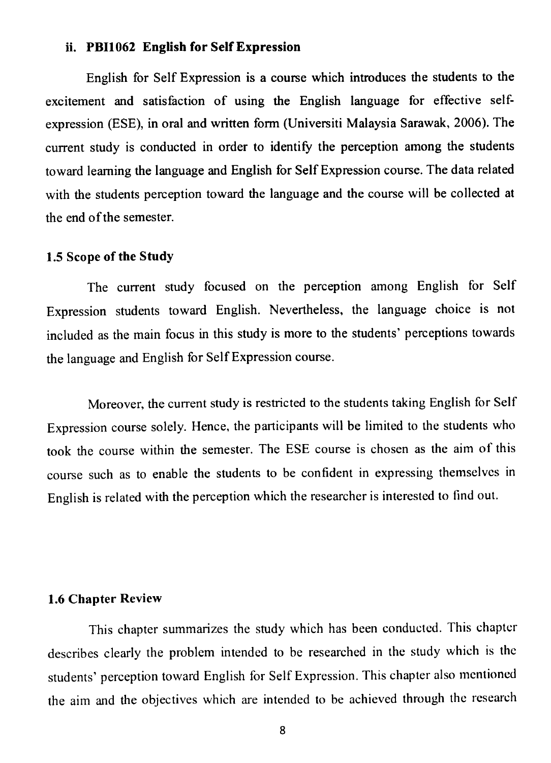### ii. PB11062 English for Self Expression

English for Self Expression is a course which introduces the students to the excitement and satisfaction of using the English language for effective selfexpression (ESE), in oral and written form (Universiti Malaysia Sarawak, 2006). The current study is conducted in order to identify the perception among the students toward learning the language and English for Self Expression course. The data related with the students perception toward the language and the course will be collected at the end of the semester.

### 1.5 Scope of the Study

The current study focused on the perception among English for Self Expression students toward English. Nevertheless, the language choice is not included as the main focus in this study is more to the students' perceptions towards the language and English for Self Expression course.

Moreover, the current study is restricted to the students taking English for Self Expression course solely. Hence, the participants will be limited to the students who took the course within the semester. The ESE course is chosen as the aim of this course such as to enable the students to be confident in expressing themselves in

English is related with the perception which the researcher is interested to find out.

#### 1.6 Chapter Review

This chapter summarizes the study which has been conducted. This chapter describes clearly the problem intended to be researched in the study which is the students' perception toward English for Self Expression. This chapter also mentioned the aim and the objectives which are intended to be achieved through the research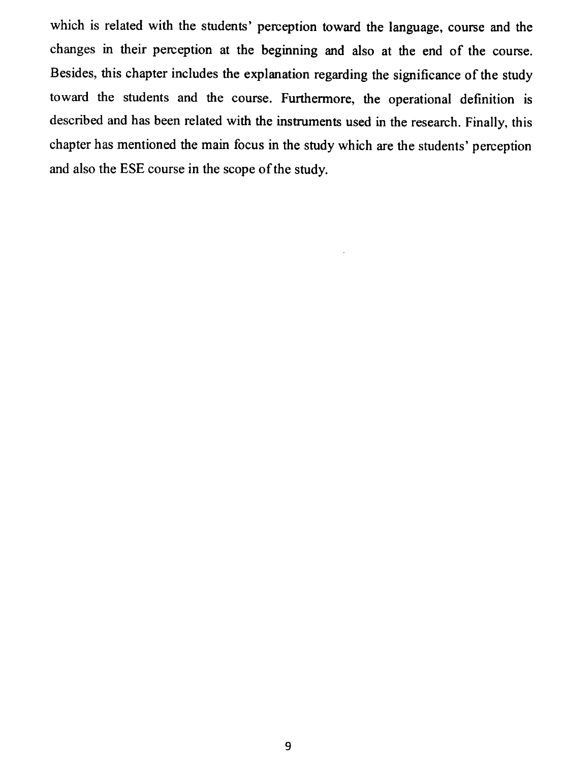which is related with the students' perception toward the language, course and the changes in their perception at the beginning and also at the end of the course. Besides, this chapter includes the explanation regarding the significance of the study toward the students and the course. Furthermore, the operational definition is described and has been related with the instruments used in the research. Finally, this chapter has mentioned the main focus in the study which are the students' perception and also the ESE course in the scope of the study.

#### 9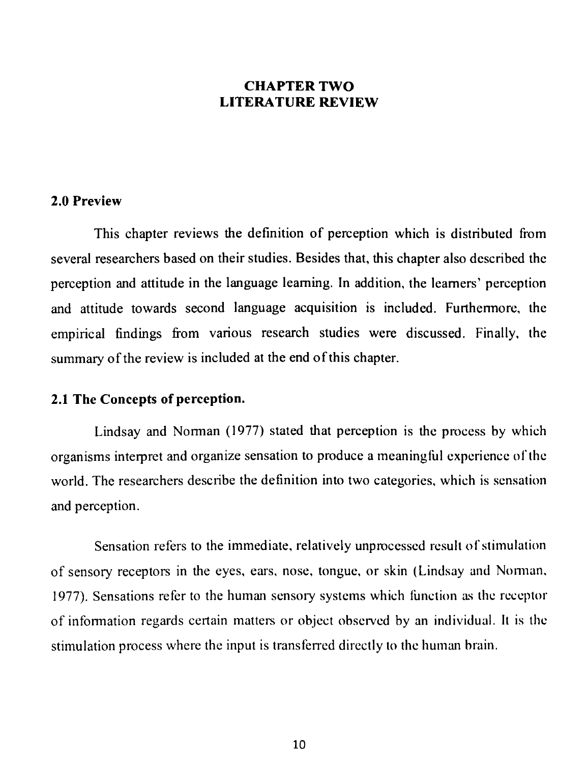#### CHAPTER TWO LITERATURE REVIEW

#### 2.0 Preview

This chapter reviews the definition of perception which is distributed from several researchers based on their studies. Besides that, this chapter also described the

perception and attitude in the language learning. In addition, the learners' perception and attitude towards second language acquisition is included. Furthermore, the empirical findings from various research studies were discussed. Finally, the summary of the review is included at the end of this chapter.

#### 2.1 The Concepts of perception.

Lindsay and Norman (1977) stated that perception is the process by which organisms interpret and organize sensation to produce a meaningtül experience of the world. The researchers describe the definition into two categories, which is sensation and perception.

Sensation refers to the immediate, relatively unprocessed result of stimulation of sensory receptors in the eyes, ears, nose, tongue, or skin (Lindsay and Norman, 1977). Sensations refer to the human sensory systems which function as the receptor of information regards certain matters or object observed by an individual. It is the stimulation process where the input is transferred directly to the human brain.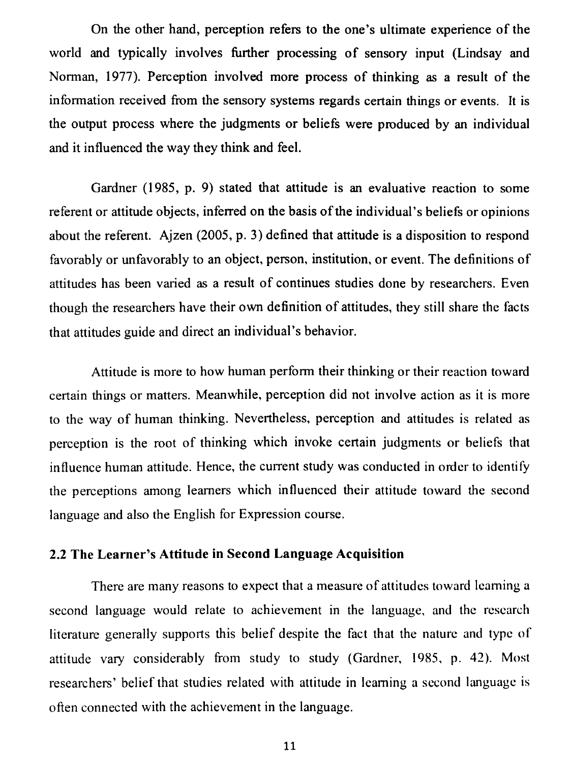On the other hand, perception refers to the one's ultimate experience of the world and typically involves further processing of sensory input (Lindsay and Norman, 1977). Perception involved more process of thinking as a result of the information received from the sensory systems regards certain things or events. It is the output process where the judgments or beliefs were produced by an individual and it influenced the way they think and feel.

Gardner (1985, p. 9) stated that attitude is an evaluative reaction to some referent or attitude objects, inferred on the basis of the individual's beliefs or opinions about the referent. Ajzen (2005, p. 3) defined that attitude is a disposition to respond

favorably or unfavorably to an object, person, institution, or event. The definitions of attitudes has been varied as a result of continues studies done by researchers. Even though the researchers have their own definition of attitudes, they still share the facts that attitudes guide and direct an individual's behavior.

Attitude is more to how human perform their thinking or their reaction toward certain things or matters. Meanwhile, perception did not involve action as it is more to the way of human thinking. Nevertheless, perception and attitudes is related as perception is the root of thinking which invoke certain judgments or beliefs that influence human attitude. Hence, the current study was conducted in order to identify the perceptions among learners which influenced their attitude toward the second

language and also the English for Expression course.

## 2.2 The Learner's Attitude in Second Language Acquisition

There are many reasons to expect that a measure of attitudes toward learning a second language would relate to achievement in the language, and the research literature generally supports this belief despite the fact that the nature and type of attitude vary considerably from study to study (Gardner, 1985, p. 42). Most researchers' belief that studies related with attitude in learning a second language is often connected with the achievement in the language.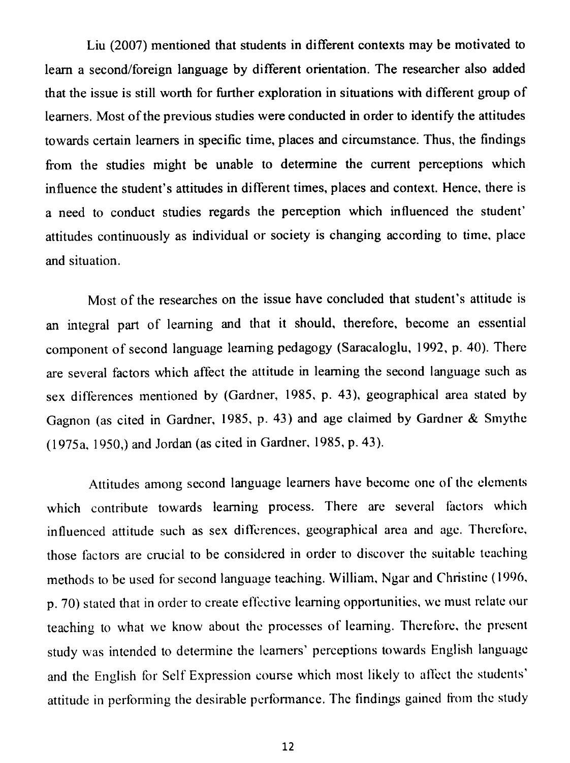Liu (2007) mentioned that students in different contexts may be motivated to learn a second/foreign language by different orientation. The researcher also added that the issue is still worth for further exploration in situations with different group of learners. Most of the previous studies were conducted in order to identify the attitudes towards certain learners in specific time, places and circumstance. Thus, the findings from the studies might be unable to determine the current perceptions which influence the student's attitudes in different times, places and context. Hence, there is a need to conduct studies regards the perception which influenced the student' attitudes continuously as individual or society is changing according to time, place

Attitudes among second language learners have become one of the elements which contribute towards learning process. There are several factors which influenced attitude such as sex differences, geographical area and age. Therefore, those factors are crucial to be considered in order to discover the suitable teaching methods to be used for second language teaching. William, Ngar and Christine (1996, p. 70) stated that in order to create effective learning opportunities, we must relate our teaching to what we know about the processes of learning. Therefore, the present study was intended to determine the learners' perceptions towards English language and the English for Self Expression course which most likely to affect the students' attitude in performing the desirable performance. The findings gained from the study

Most of the researches on the issue have concluded that student's attitude is an integral part of learning and that it should, therefore, become an essential component of second language learning pedagogy (Saracaloglu, 1992, p. 40). There are several factors which affect the attitude in learning the second language such as sex differences mentioned by (Gardner, 1985, p. 43), geographical area stated by Gagnon (as cited in Gardner, 1985, p. 43) and age claimed by Gardner & Smythe (1975a, 1950) and Jordan (as cited in Gardner, 1985, p. 43).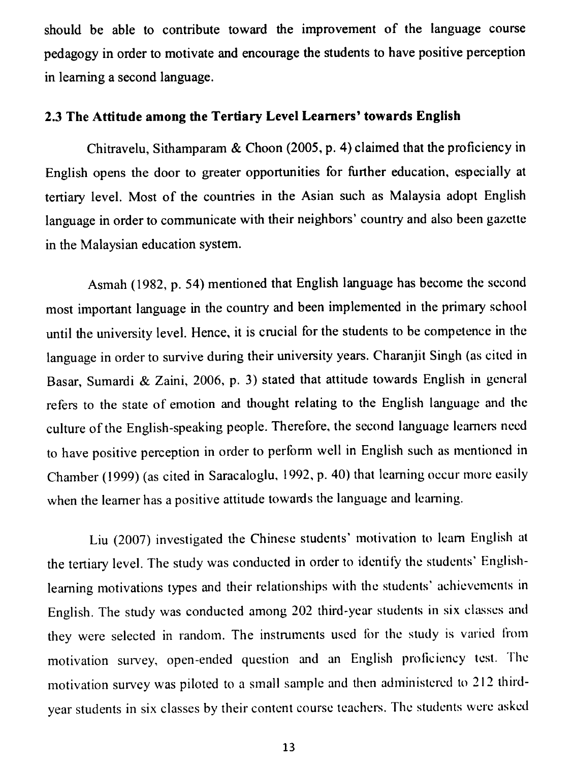should be able to contribute toward the improvement of the language course pedagogy in order to motivate and encourage the students to have positive perception in learning a second language.

### 2.3 The Attitude among the Tertiary Level Learners' towards English

Chitravelu, Sithamparam & Choon (2005, p. 4) claimed that the proficiency in English opens the door to greater opportunities for further education, especially at tertiary level. Most of the countries in the Asian such as Malaysia adopt English language in order to communicate with their neighbors' country and also been gazette in the Malaysian education system.

Asmah (1982, p. 54) mentioned that English language has become the second most important language in the country and been implemented in the primary school until the university level. Hence, it is crucial for the students to be competence in the language in order to survive during their university years. Charanjit Singh (as cited in Basar, Sumardi & Zaini, 2006, p. 3) stated that attitude towards English in general refers to the state of emotion and thought relating to the English language and the culture of the English-speaking people. Therefore, the second language learners need to have positive perception in order to perform well in English such as mentioned in Chamber (1999) (as cited in Saracaloglu, 1992, p. 40) that learning occur more easily when the learner has a positive attitude towards the language and learning.

Liu (2007) investigated the Chinese students' motivation to learn English at the tertiary level. The study was conducted in order to identify the students' Englishlearning motivations types and their relationships with the students' achievements in English. The study was conducted among 202 third-year students in six classes and they were selected in random. The instruments used for the study is varied from motivation survey, open-ended question and an English proficiency test. The motivation survey was piloted to a small sample and then administered to 212 thirdyear students in six classes by their content course teachers. The students were asked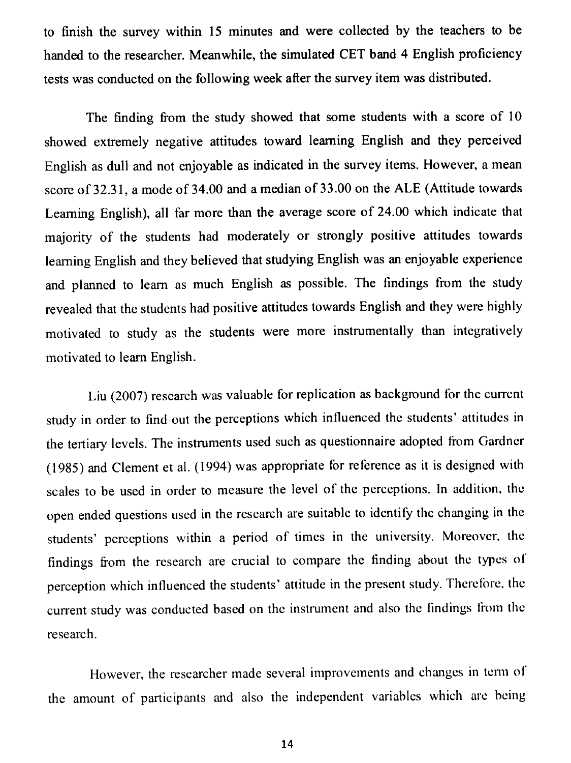to finish the survey within 15 minutes and were collected by the teachers to be handed to the researcher. Meanwhile, the simulated CET band 4 English proficiency tests was conducted on the following week after the survey item was distributed.

The finding from the study showed that some students with a score of 10 showed extremely negative attitudes toward learning English and they perceived English as dull and not enjoyable as indicated in the survey items. However, a mean score of 32.31, a mode of 34.00 and a median of 33.00 on the ALE (Attitude towards Learning English), all far more than the average score of 24.00 which indicate that majority of the students had moderately or strongly positive attitudes towards

learning English and they believed that studying English was an enjoyable experience and planned to learn as much English as possible. The findings from the study revealed that the students had positive attitudes towards English and they were highly motivated to study as the students were more instrumentally than integratively motivated to learn English.

However, the researcher made several improvements and changes in term of the amount of participants and also the independent variables which are being

Liu (2007) research was valuable for replication as background for the current study in order to find out the perceptions which influenced the students' attitudes in the tertiary levels. The instruments used such as questionnaire adopted from Gardner (1985) and Clement et al. (1994) was appropriate for reference as it is designed with scales to be used in order to measure the level of the perceptions. In addition, the

open ended questions used in the research are suitable to identify the changing in the students' perceptions within a period of times in the university. Moreover, the findings from the research are crucial to compare the finding about the types of perception which influenced the students' attitude in the present study. Therefbre, the current study was conducted based on the instrument and also the findings from the research.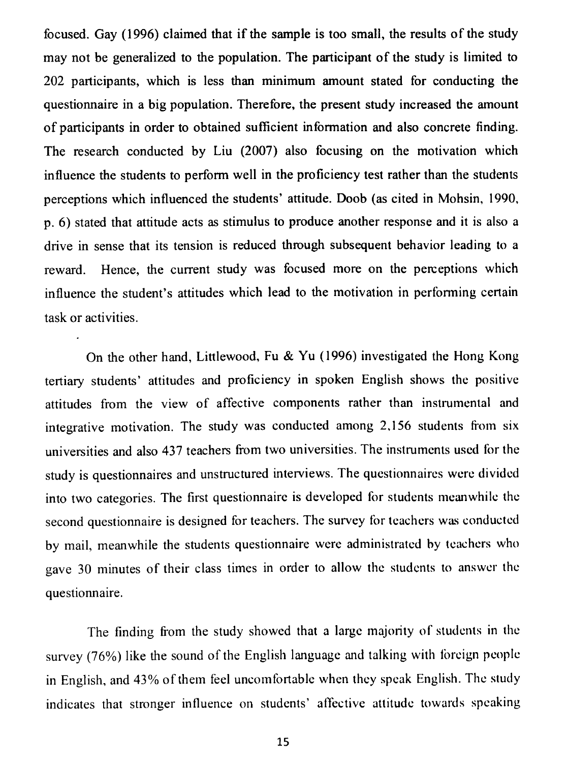focused. Gay (1996) claimed that if the sample is too small, the results of the study may not be generalized to the population. The participant of the study is limited to 202 participants, which is less than minimum amount stated for conducting the questionnaire in a big population. Therefore, the present study increased the amount of participants in order to obtained sufficient information and also concrete finding. The research conducted by Liu (2007) also focusing on the motivation which influence the students to perform well in the proficiency test rather than the students perceptions which influenced the students' attitude. Doob (as cited in Mohsin, 1990, p. 6) stated that attitude acts as stimulus to produce another response and it is also a drive in sense that its tension is reduced through subsequent behavior leading to a

reward. Hence, the current study was focused more on the perceptions which influence the student's attitudes which lead to the motivation in performing certain task or activities.

On the other hand, Littlewood, Fu & Yu (1996) investigated the Hong Kong tertiary students' attitudes and proficiency in spoken English shows the positive attitudes from the view of affective components rather than instrumental and integrative motivation. The study was conducted among 2,156 students from six universities and also 437 teachers from two universities. The instruments used for the study is questionnaires and unstructured interviews. The questionnaires were divided into two categories. The first questionnaire is developed for students meanwhile the

second questionnaire is designed for teachers. The survey for teachers was conducted by mail, meanwhile the students questionnaire were administrated by teachers who gave 30 minutes of their class times in order to allow the students to answer the questionnaire.

The finding from the study showed that a large majority of students in the survey (76%) like the sound of the English language and talking with foreign people in English, and 43% of them feel uncomfortable when they speak English. The study indicates that stronger influence on students' affective attitude towards speaking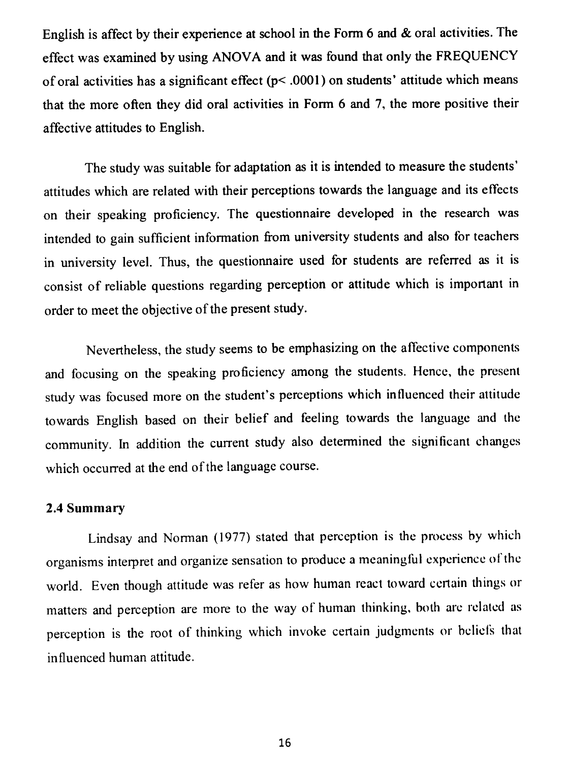English is affect by their experience at school in the Form 6 and & oral activities. The effect was examined by using ANOVA and it was found that only the FREQUENCY of oral activities has a significant effect  $(p<$ 0001) on students' attitude which means that the more often they did oral activities in Form 6 and 7, the more positive their affective attitudes to English.

The study was suitable for adaptation as it is intended to measure the students' attitudes which are related with their perceptions towards the language and its effects on their speaking proficiency. The questionnaire developed in the research was intended to gain sufficient information from university students and also for teachers

in university level. Thus, the questionnaire used for students are referred as it is consist of reliable questions regarding perception or attitude which is important in order to meet the objective of the present study.

Nevertheless, the study seems to be emphasizing on the affective components and focusing on the speaking proficiency among the students. Hence, the present study was focused more on the student's perceptions which influenced their attitude towards English based on their belief and feeling towards the language and the community. In addition the current study also determined the significant changes which occurred at the end of the language course.

#### 2.4 Summary

Lindsay and Norman (1977) stated that perception is the process by which organisms interpret and organize sensation to produce a meaningful experience of the world. Even though attitude was refer as how human react toward certain things or matters and perception are more to the way of human thinking, both are related as perception is the root of thinking which invoke certain judgments or beliefs that influenced human attitude.